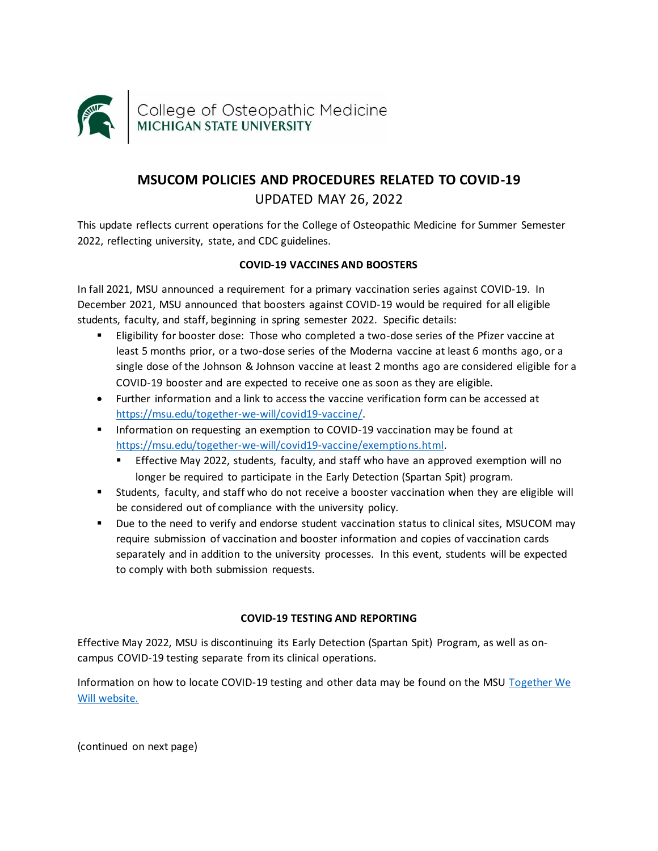

# **MSUCOM POLICIES AND PROCEDURES RELATED TO COVID-19** UPDATED MAY 26, 2022

This update reflects current operations for the College of Osteopathic Medicine for Summer Semester 2022, reflecting university, state, and CDC guidelines.

# **COVID-19 VACCINES AND BOOSTERS**

In fall 2021, MSU announced a requirement for a primary vaccination series against COVID-19. In December 2021, MSU announced that boosters against COVID-19 would be required for all eligible students, faculty, and staff, beginning in spring semester 2022. Specific details:

- Eligibility for booster dose: Those who completed a two-dose series of the Pfizer vaccine at least 5 months prior, or a two-dose series of the Moderna vaccine at least 6 months ago, or a single dose of the Johnson & Johnson vaccine at least 2 months ago are considered eligible for a COVID-19 booster and are expected to receive one as soon as they are eligible.
- Further information and a link to access the vaccine verification form can be accessed at [https://msu.edu/together-we-will/covid19-vaccine/.](https://msu.edu/together-we-will/covid19-vaccine/)
- Information on requesting an exemption to COVID-19 vaccination may be found at [https://msu.edu/together-we-will/covid19-vaccine/exemptions.html.](https://msu.edu/together-we-will/covid19-vaccine/exemptions.html) 
	- **E** Effective May 2022, students, faculty, and staff who have an approved exemption will no longer be required to participate in the Early Detection (Spartan Spit) program.
- Students, faculty, and staff who do not receive a booster vaccination when they are eligible will be considered out of compliance with the university policy.
- Due to the need to verify and endorse student vaccination status to clinical sites, MSUCOM may require submission of vaccination and booster information and copies of vaccination cards separately and in addition to the university processes. In this event, students will be expected to comply with both submission requests.

## **COVID-19 TESTING AND REPORTING**

Effective May 2022, MSU is discontinuing its Early Detection (Spartan Spit) Program, as well as oncampus COVID-19 testing separate from its clinical operations.

Information on how to locate COVID-19 testing and other data may be found on the MSU [Together We](https://msu.edu/together-we-will/)  [Will website.](https://msu.edu/together-we-will/)

(continued on next page)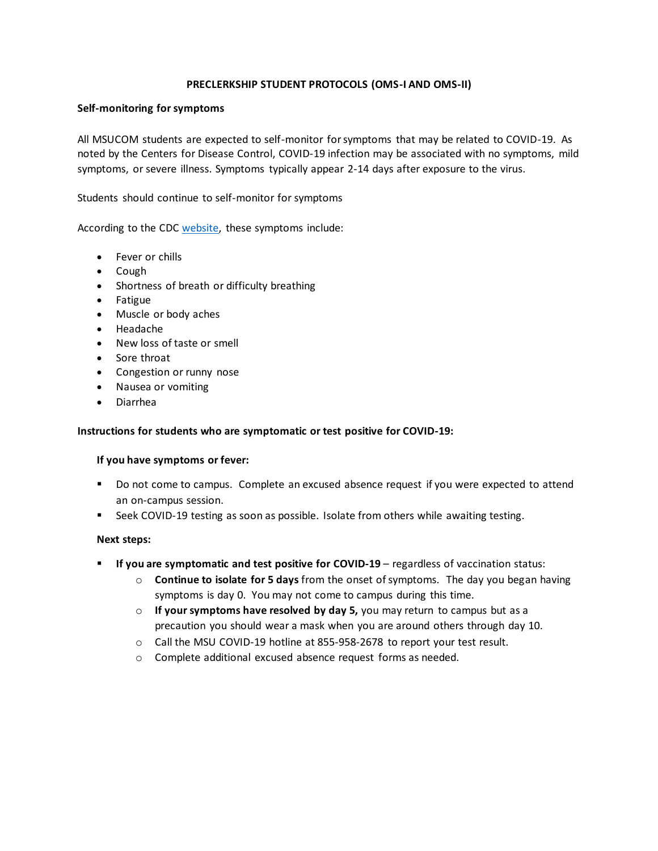## **PRECLERKSHIP STUDENT PROTOCOLS (OMS-I AND OMS-II)**

#### **Self-monitoring for symptoms**

All MSUCOM students are expected to self-monitor for symptoms that may be related to COVID-19. As noted by the Centers for Disease Control, COVID-19 infection may be associated with no symptoms, mild symptoms, or severe illness. Symptoms typically appear 2-14 days after exposure to the virus.

Students should continue to self-monitor for symptoms

According to the CDC [website,](https://www.cdc.gov/coronavirus/2019-ncov/symptoms-testing/symptoms.html) these symptoms include:

- Fever or chills
- Cough
- Shortness of breath or difficulty breathing
- Fatigue
- Muscle or body aches
- Headache
- New loss of taste or smell
- Sore throat
- Congestion or runny nose
- Nausea or vomiting
- Diarrhea

#### **Instructions for students who are symptomatic or test positive for COVID-19:**

#### **If you have symptoms or fever:**

- Do not come to campus. Complete an excused absence request if you were expected to attend an on-campus session.
- Seek COVID-19 testing as soon as possible. Isolate from others while awaiting testing.

#### **Next steps:**

- **If you are symptomatic and test positive for COVID-19** regardless of vaccination status:
	- o **Continue to isolate for 5 days** from the onset of symptoms. The day you began having symptoms is day 0. You may not come to campus during this time.
	- o **If your symptoms have resolved by day 5,** you may return to campus but as a precaution you should wear a mask when you are around others through day 10.
	- o Call the MSU COVID-19 hotline at 855-958-2678 to report your test result.
	- o Complete additional excused absence request forms as needed.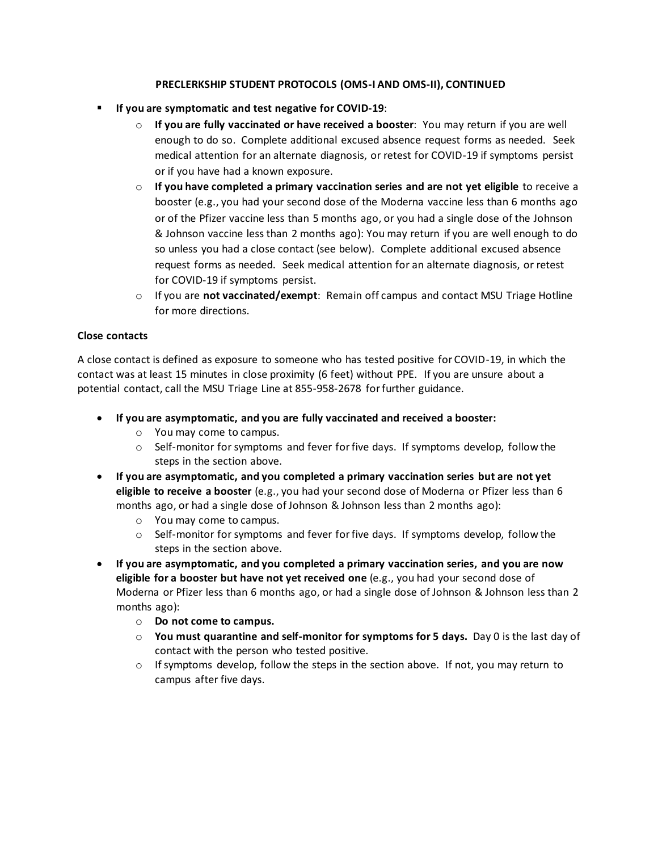## **PRECLERKSHIP STUDENT PROTOCOLS (OMS-I AND OMS-II), CONTINUED**

- **If you are symptomatic and test negative for COVID-19**:
	- o **If you are fully vaccinated or have received a booster**: You may return if you are well enough to do so. Complete additional excused absence request forms as needed. Seek medical attention for an alternate diagnosis, or retest for COVID-19 if symptoms persist or if you have had a known exposure.
	- o **If you have completed a primary vaccination series and are not yet eligible** to receive a booster (e.g., you had your second dose of the Moderna vaccine less than 6 months ago or of the Pfizer vaccine less than 5 months ago, or you had a single dose of the Johnson & Johnson vaccine less than 2 months ago): You may return if you are well enough to do so unless you had a close contact (see below). Complete additional excused absence request forms as needed. Seek medical attention for an alternate diagnosis, or retest for COVID-19 if symptoms persist.
	- o If you are **not vaccinated/exempt**: Remain off campus and contact MSU Triage Hotline for more directions.

## **Close contacts**

A close contact is defined as exposure to someone who has tested positive for COVID-19, in which the contact was at least 15 minutes in close proximity (6 feet) without PPE. If you are unsure about a potential contact, call the MSU Triage Line at 855-958-2678 for further guidance.

- **If you are asymptomatic, and you are fully vaccinated and received a booster:**
	- o You may come to campus.
	- $\circ$  Self-monitor for symptoms and fever for five days. If symptoms develop, follow the steps in the section above.
- **If you are asymptomatic, and you completed a primary vaccination series but are not yet eligible to receive a booster** (e.g., you had your second dose of Moderna or Pfizer less than 6 months ago, or had a single dose of Johnson & Johnson less than 2 months ago):
	- o You may come to campus.
	- $\circ$  Self-monitor for symptoms and fever for five days. If symptoms develop, follow the steps in the section above.
- **If you are asymptomatic, and you completed a primary vaccination series, and you are now eligible for a booster but have not yet received one** (e.g., you had your second dose of Moderna or Pfizer less than 6 months ago, or had a single dose of Johnson & Johnson less than 2 months ago):
	- o **Do not come to campus.**
	- o **You must quarantine and self-monitor for symptoms for 5 days.** Day 0 is the last day of contact with the person who tested positive.
	- $\circ$  If symptoms develop, follow the steps in the section above. If not, you may return to campus after five days.